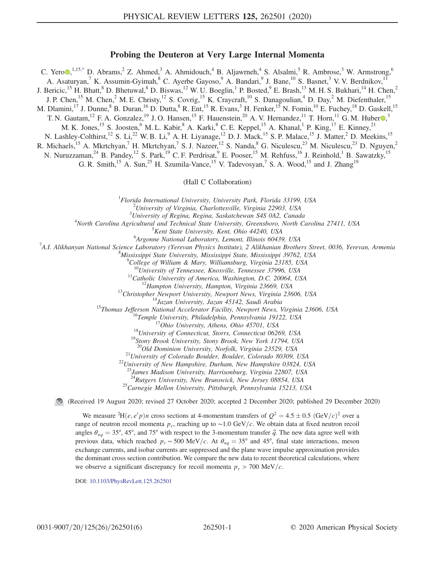## Probing the Deuteron at Very Large Internal Momenta

<span id="page-0-0"></span>C. Yero $\bullet$ , 1,15[,\\*](#page-5-0) D. Abrams,<sup>2</sup> Z. Ahmed,<sup>3</sup> A. Ahmidouch,<sup>4</sup> B. Aljawrneh,<sup>4</sup> S. Alsalmi,<sup>5</sup> R. Ambrose,<sup>3</sup> W. Armstrong,<sup>6</sup> A. Asaturyan,<sup>7</sup> K. Assumin-Gyimah,<sup>8</sup> C. Ayerbe Gayoso,<sup>9</sup> A. Bandari,<sup>9</sup> J. Bane,<sup>10</sup> S. Basnet,<sup>3</sup> V. V. Berdnikov,<sup>1</sup> J. Bericic,<sup>15</sup> H. Bhatt,<sup>8</sup> D. Bhetuwal,<sup>8</sup> D. Biswas,<sup>12</sup> W. U. Boeglin,<sup>1</sup> P. Bosted,<sup>9</sup> E. Brash,<sup>13</sup> M. H. S. Bukhari,<sup>14</sup> H. Chen,<sup>2</sup> J. P. Chen,<sup>15</sup> M. Chen,<sup>2</sup> M. E. Christy,<sup>12</sup> S. Covrig,<sup>15</sup> K. Craycraft,<sup>10</sup> S. Danagoulian,<sup>4</sup> D. Day,<sup>2</sup> M. Diefenthaler,<sup>15</sup> M. Dlamini,<sup>17</sup> J. Dunne, <sup>8</sup> B. Duran, <sup>16</sup> D. Dutta, <sup>8</sup> R. Ent, <sup>15</sup> R. Evans, <sup>3</sup> H. Fenker, <sup>15</sup> N. Fomin, <sup>10</sup> E. Fuchey, <sup>18</sup> D. Gaskell, <sup>15</sup> T. N. Gautam,  $^{12}$  F. A. Gonzalez,  $^{19}$  J. O. Hansen,  $^{15}$  F. Hauenstein,  $^{20}$  A. V. Hernandez,  $^{11}$  T. Horn,  $^{11}$  G. M. Huber  $\odot$ , M. K. Jones,<sup>15</sup> S. Joosten, <sup>6</sup> M. L. Kabir, <sup>8</sup> A. Karki, <sup>8</sup> C. E. Keppel, <sup>15</sup> A. Khanal, <sup>1</sup> P. King, <sup>17</sup> E. Kinney, <sup>21</sup> N. Lashley-Colthirst,<sup>12</sup> S. Li,<sup>22</sup> W. B. Li,<sup>9</sup> A. H. Liyanage,<sup>12</sup> D. J. Mack,<sup>15</sup> S. P. Malace,<sup>15</sup> J. Matter,<sup>2</sup> D. Meekins,<sup>15</sup> R. Michaels,<sup>15</sup> A. Mkrtchyan,<sup>7</sup> H. Mkrtchyan,<sup>7</sup> S. J. Nazeer,<sup>12</sup> S. Nanda,<sup>8</sup> G. Niculescu,<sup>23</sup> M. Niculescu,<sup>23</sup> D. Nguyen,<sup>2</sup> N. Nuruzzaman,<sup>24</sup> B. Pandey,<sup>12</sup> S. Park,<sup>19</sup> C. F. Perdrisat,<sup>9</sup> E. Pooser,<sup>15</sup> M. Rehfuss,<sup>16</sup> J. Reinhold,<sup>1</sup> B. Sawatzky,<sup>15</sup>

G. R. Smith, <sup>15</sup> A. Sun, <sup>25</sup> H. Szumila-Vance, <sup>15</sup> V. Tadevosyan, <sup>7</sup> S. A. Wood, <sup>15</sup> and J. Zhang<sup>19</sup>

(Hall C Collaboration)

<sup>1</sup> Florida International University, University Park, Florida 33199, USA  $\frac{2I_{\text{Disipar}}}{I}$ 

 $^{2}$ University of Virginia, Charlottesville, Virginia 22903, USA

 $3$ University of Regina, Regina, Saskatchewan S4S 0A2, Canada

<sup>4</sup>North Carolina Agricultural and Technical State University, Greensboro, North Carolina 27411, USA<br><sup>5</sup>Kent State University, Kent, Ohio 44240, USA

<sup>5</sup> Kent State University, Kent, Ohio 44240, USA  $^{6}$ Argonna National Laboratory, Lamont, Illinois 60436

<sup>o</sup> Argonne National Laboratory, Lemont, Illinois 60439, USA<br><sup>7</sup>A L. Alikhanyan National Science Laboratory (Vargyan Physics Institute), 2 Alikhanian Prothe

<sup>7</sup>A.I. Alikhanyan National Science Laboratory (Yerevan Physics Institute), 2 Alikhanian Brothers Street, 0036, Yerevan, Armenia

 $M$ ississippi State University, Mississippi State, Mississippi 39762, USA<br> $^{9}$ College of William & Mary, Williamsburg, Virginia 23185, USA

<sup>10</sup>University of Tennessee, Knoxville, Tennessee 37996, USA<br><sup>11</sup>Catholic University of America, Washington, D.C. 20064, USA<br><sup>12</sup>Hampton University, Hampton, Virginia 23669, USA<br><sup>13</sup>Christopher Newport University, Newport

<sup>21</sup> University of Colorado Boulder, Boulder, Colorado 80309, USA  $^{22}$ University of New Hampshire, Durham, New Hampshire 03824, USA

<sup>3</sup>James Madison University, Harrisonburg, Virginia 22807, USA<br><sup>24</sup>Rutgers University, New Brunswick, New Jersey 08854, USA

<sup>25</sup>Carnegie Mellon University, Pittsburgh, Pennsylvania 15213, USA

(Received 19 August 2020; revised 27 October 2020; accepted 2 December 2020; published 29 December 2020)

We measure  ${}^{2}H(e, e'p)n$  cross sections at 4-momentum transfers of  $Q^{2} = 4.5 \pm 0.5$  (GeV/c)<sup>2</sup> over a range of neutron recoil momenta  $p_r$ , reaching up to ~1.0 GeV/c. We obtain data at fixed neutron recoil angles  $\theta_{nq} = 35^{\circ}$ , 45°, and 75° with respect to the 3-momentum transfer  $\vec{q}$ . The new data agree well with previous data, which reached  $p_r \sim 500 \text{ MeV}/c$ . At  $\theta_{nq} = 35^\circ$  and 45°, final state interactions, meson exchange currents, and isobar currents are suppressed and the plane wave impulse approximation provides the dominant cross section contribution. We compare the new data to recent theoretical calculations, where we observe a significant discrepancy for recoil momenta  $p_r > 700 \text{ MeV}/c$ .

DOI: [10.1103/PhysRevLett.125.262501](https://doi.org/10.1103/PhysRevLett.125.262501)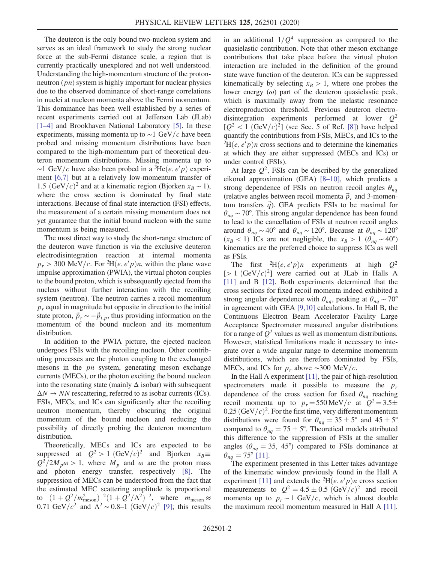The deuteron is the only bound two-nucleon system and serves as an ideal framework to study the strong nuclear force at the sub-Fermi distance scale, a region that is currently practically unexplored and not well understood. Understanding the high-momentum structure of the protonneutron (*pn*) system is highly important for nuclear physics due to the observed dominance of short-range correlations in nuclei at nucleon momenta above the Fermi momentum. This dominance has been well established by a series of recent experiments carried out at Jefferson Lab (JLab) [\[1](#page-5-1)–4] and Brookhaven National Laboratory [\[5\].](#page-5-2) In these experiments, missing momenta up to  $\sim$ 1 GeV/c have been probed and missing momentum distributions have been compared to the high-momentum part of theoretical deuteron momentum distributions. Missing momenta up to ~1 GeV/c have also been probed in a  ${}^{3}\text{He}(e, e'p)$  experiment [\[6,7\]](#page-5-3) but at a relatively low-momentum transfer of 1.5  $(GeV/c)^2$  and at a kinematic region (Bjorken  $x_B \sim 1$ ), where the cross section is dominated by final state interactions. Because of final state interaction (FSI) effects, the measurement of a certain missing momentum does not yet guarantee that the initial bound nucleon with the same momentum is being measured.

The most direct way to study the short-range structure of the deuteron wave function is via the exclusive deuteron electrodisintegration reaction at internal momenta  $p_r > 300 \text{ MeV}/c$ . For <sup>2</sup>H(*e*, *e'p*)*n*, within the plane wave impulse approximation (PWIA), the virtual photon couples to the bound proton, which is subsequently ejected from the nucleus without further interaction with the recoiling system (neutron). The neutron carries a recoil momentum  $p_r$  equal in magnitude but opposite in direction to the initial state proton,  $\vec{p}_r \sim -\vec{p}_{i,p}$ , thus providing information on the momentum of the bound nucleon and its momentum distribution.

In addition to the PWIA picture, the ejected nucleon undergoes FSIs with the recoiling nucleon. Other contributing processes are the photon coupling to the exchanged mesons in the *pn* system, generating meson exchange currents (MECs), or the photon exciting the bound nucleon into the resonating state (mainly  $\Delta$  isobar) with subsequent  $\Delta N \rightarrow NN$  rescattering, referred to as isobar currents (ICs). FSIs, MECs, and ICs can significantly alter the recoiling neutron momentum, thereby obscuring the original momentum of the bound nucleon and reducing the possibility of directly probing the deuteron momentum distribution.

Theoretically, MECs and ICs are expected to be suppressed at  $Q^2 > 1$   $(GeV/c)^2$  and Bjorken  $x_B \equiv$  $Q^2/2M_p\omega > 1$ , where  $M_p$  and  $\omega$  are the proton mass and photon energy transfer, respectively [\[8\]](#page-5-4). The suppression of MECs can be understood from the fact that the estimated MEC scattering amplitude is proportional to  $(1+Q^2/m_{\text{meson}}^2)^{-2}(1+Q^2/\Lambda^2)^{-2}$ , where  $m_{\text{meson}} \approx$ 0.71 GeV/ $c^2$  and  $\Lambda^2 \sim 0.8$ –1 (GeV/ $c$ )<sup>2</sup> [\[9\]](#page-5-5); this results in an additional  $1/Q<sup>4</sup>$  suppression as compared to the quasielastic contribution. Note that other meson exchange contributions that take place before the virtual photon interaction are included in the definition of the ground state wave function of the deuteron. ICs can be suppressed kinematically by selecting  $x_B > 1$ , where one probes the lower energy  $(\omega)$  part of the deuteron quasielastic peak, which is maximally away from the inelastic resonance electroproduction threshold. Previous deuteron electrodisintegration experiments performed at lower  $Q^2$  $[Q^2 < 1 \text{ (GeV/}c)^2]$  (see Sec. 5 of Ref. [\[8\]](#page-5-4)) have helped quantify the contributions from FSIs, MECs, and ICs to the  ${}^{2}\text{H}(e, e'p)n$  cross sections and to determine the kinematics at which they are either suppressed (MECs and ICs) or under control (FSIs).

At large  $Q^2$ , FSIs can be described by the generalized eikonal approximation (GEA) [8–[10\]](#page-5-4), which predicts a strong dependence of FSIs on neutron recoil angles  $\theta_{na}$ (relative angles between recoil momenta  $\vec{p}_r$  and 3-momentum transfers  $\vec{q}$ ). GEA predicts FSIs to be maximal for  $\theta_{nq} \sim 70^{\circ}$ . This strong angular dependence has been found to lead to the cancellation of FSIs at neutron recoil angles around  $\theta_{nq} \sim 40^{\circ}$  and  $\theta_{nq} \sim 120^{\circ}$ . Because at  $\theta_{nq} \sim 120^{\circ}$  $(x_B < 1)$  ICs are not negligible, the  $x_B > 1$  ( $\theta_{nq} \sim 40^{\circ}$ ) kinematics are the preferred choice to suppress ICs as well as FSIs.

The first  ${}^{2}H(e, e'p)n$  experiments at high  $Q^2$  $[> 1 \text{ (GeV/}c)^2]$  were carried out at JLab in Halls A [\[11\]](#page-5-6) and B [\[12\].](#page-5-7) Both experiments determined that the cross sections for fixed recoil momenta indeed exhibited a strong angular dependence with  $\theta_{nq}$ , peaking at  $\theta_{nq} \sim 70^{\circ}$ in agreement with GEA [\[9,10\]](#page-5-5) calculations. In Hall B, the Continuous Electron Beam Accelerator Facility Large Acceptance Spectrometer measured angular distributions for a range of  $Q^2$  values as well as momentum distributions. However, statistical limitations made it necessary to integrate over a wide angular range to determine momentum distributions, which are therefore dominated by FSIs, MECs, and ICs for  $p_r$  above ~300 MeV/c.

In the Hall A experiment [\[11\]](#page-5-6), the pair of high-resolution spectrometers made it possible to measure the  $p_r$ dependence of the cross section for fixed  $\theta_{nq}$  reaching recoil momenta up to  $p_r = 550 \,\text{MeV}/c$  at  $Q^2 = 3.5\pm$  $0.25$  (GeV/c)<sup>2</sup>. For the first time, very different momentum distributions were found for  $\theta_{nq} = 35 \pm 5^{\circ}$  and  $45 \pm 5^{\circ}$ compared to  $\theta_{nq} = 75 \pm 5^{\circ}$ . Theoretical models attributed this difference to the suppression of FSIs at the smaller angles ( $\theta_{nq} = 35$ , 45°) compared to FSIs dominance at  $\theta_{nq} = 75^{\circ}$  [\[11\]](#page-5-6).

The experiment presented in this Letter takes advantage of the kinematic window previously found in the Hall A experiment [\[11\]](#page-5-6) and extends the  $^{2}H(e, e'p)n$  cross section measurements to  $Q^2 = 4.5 \pm 0.5$   $(\text{GeV}/c)^2$  and recoil momenta up to  $p_r \sim 1$  GeV/c, which is almost double the maximum recoil momentum measured in Hall A [\[11\]](#page-5-6).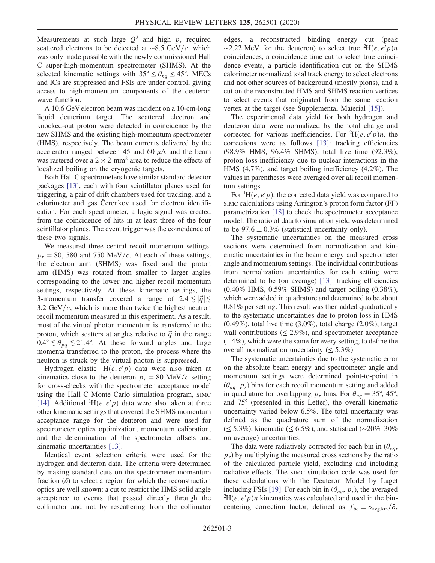Measurements at such large  $Q^2$  and high  $p_r$  required scattered electrons to be detected at ~8.5 GeV/c, which was only made possible with the newly commissioned Hall C super-high-momentum spectrometer (SHMS). At the selected kinematic settings with  $35^{\circ} \le \theta_{na} \le 45^{\circ}$ , MECs and ICs are suppressed and FSIs are under control, giving access to high-momentum components of the deuteron wave function.

A 10.6 GeV electron beam was incident on a 10-cm-long liquid deuterium target. The scattered electron and knocked-out proton were detected in coincidence by the new SHMS and the existing high-momentum spectrometer (HMS), respectively. The beam currents delivered by the accelerator ranged between 45 and 60  $\mu$ A and the beam was rastered over a  $2 \times 2$  mm<sup>2</sup> area to reduce the effects of localized boiling on the cryogenic targets.

Both Hall C spectrometers have similar standard detector packages [\[13\]](#page-5-8), each with four scintillator planes used for triggering, a pair of drift chambers used for tracking, and a calorimeter and gas Čerenkov used for electron identification. For each spectrometer, a logic signal was created from the coincidence of hits in at least three of the four scintillator planes. The event trigger was the coincidence of these two signals.

We measured three central recoil momentum settings:  $p_r = 80$ , 580 and 750 MeV/c. At each of these settings, the electron arm (SHMS) was fixed and the proton arm (HMS) was rotated from smaller to larger angles corresponding to the lower and higher recoil momentum settings, respectively. At these kinematic settings, the 3-momentum transfer covered a range of  $2.4 \lesssim |\vec{q}| \lesssim$ 3.2 GeV/ $c$ , which is more than twice the highest neutron recoil momentum measured in this experiment. As a result, most of the virtual photon momentum is transferred to the proton, which scatters at angles relative to  $\vec{q}$  in the range  $0.4^{\circ} \lesssim \theta_{pq} \lesssim 21.4^{\circ}$ . At these forward angles and large momenta transferred to the proton, the process where the neutron is struck by the virtual photon is suppressed.

Hydrogen elastic  $H(e, e'p)$  data were also taken at kinematics close to the deuteron  $p_r = 80$  MeV/c setting for cross-checks with the spectrometer acceptance model using the Hall C Monte Carlo simulation program, SIMC [\[14\]](#page-5-9). Additional  ${}^{1}H(e, e'p)$  data were also taken at three other kinematic settings that covered the SHMS momentum acceptance range for the deuteron and were used for spectrometer optics optimization, momentum calibration, and the determination of the spectrometer offsets and kinematic uncertainties [\[13\]](#page-5-8).

Identical event selection criteria were used for the hydrogen and deuteron data. The criteria were determined by making standard cuts on the spectrometer momentum fraction  $(\delta)$  to select a region for which the reconstruction optics are well known: a cut to restrict the HMS solid angle acceptance to events that passed directly through the collimator and not by rescattering from the collimator edges, a reconstructed binding energy cut (peak ~2.22 MeV for the deuteron) to select true <sup>2</sup>H $(e, e'p)n$ coincidences, a coincidence time cut to select true coincidence events, a particle identification cut on the SHMS calorimeter normalized total track energy to select electrons and not other sources of background (mostly pions), and a cut on the reconstructed HMS and SHMS reaction vertices to select events that originated from the same reaction vertex at the target (see Supplemental Material [\[15\]\)](#page-5-10).

The experimental data yield for both hydrogen and deuteron data were normalized by the total charge and corrected for various inefficiencies. For  ${}^{2}H(e, e'p)n$ , the corrections were as follows [\[13\]](#page-5-8): tracking efficiencies (98.9% HMS, 96.4% SHMS), total live time (92.3%), proton loss inefficiency due to nuclear interactions in the HMS (4.7%), and target boiling inefficiency (4.2%). The values in parentheses were averaged over all recoil momentum settings.

For  ${}^{1}H(e, e'p)$ , the corrected data yield was compared to SIMC calculations using Arrington's proton form factor (FF) parametrization [\[18\]](#page-5-11) to check the spectrometer acceptance model. The ratio of data to simulation yield was determined to be  $97.6 \pm 0.3\%$  (statistical uncertainty only).

The systematic uncertainties on the measured cross sections were determined from normalization and kinematic uncertainties in the beam energy and spectrometer angle and momentum settings. The individual contributions from normalization uncertainties for each setting were determined to be (on average) [\[13\]](#page-5-8): tracking efficiencies (0.40% HMS, 0.59% SHMS) and target boiling (0.38%), which were added in quadrature and determined to be about 0.81% per setting. This result was then added quadratically to the systematic uncertainties due to proton loss in HMS  $(0.49\%)$ , total live time  $(3.0\%)$ , total charge  $(2.0\%)$ , target wall contributions ( $\leq$  2.9%), and spectrometer acceptance (1.4%), which were the same for every setting, to define the overall normalization uncertainty  $(\leq 5.3\%)$ .

The systematic uncertainties due to the systematic error on the absolute beam energy and spectrometer angle and momentum settings were determined point-to-point in  $(\theta_{nq}, p_r)$  bins for each recoil momentum setting and added in quadrature for overlapping  $p_r$  bins. For  $\theta_{nq} = 35^\circ, 45^\circ$ , and 75° (presented in this Letter), the overall kinematic uncertainty varied below 6.5%. The total uncertainty was defined as the quadrature sum of the normalization (≤ 5.3%), kinematic (≤ 6.5%), and statistical (∼20%–30% on average) uncertainties.

The data were radiatively corrected for each bin in  $(\theta_{nq},$  $p<sub>r</sub>$ ) by multiplying the measured cross sections by the ratio of the calculated particle yield, excluding and including radiative effects. The SIMC simulation code was used for these calculations with the Deuteron Model by Laget including FSIs [\[19\].](#page-5-12) For each bin in  $(\theta_{na}, p_r)$ , the averaged  ${}^{2}H(e, e'p)n$  kinematics was calculated and used in the bincentering correction factor, defined as  $f_{bc} \equiv \sigma_{avg,kin}/\bar{\sigma}$ ,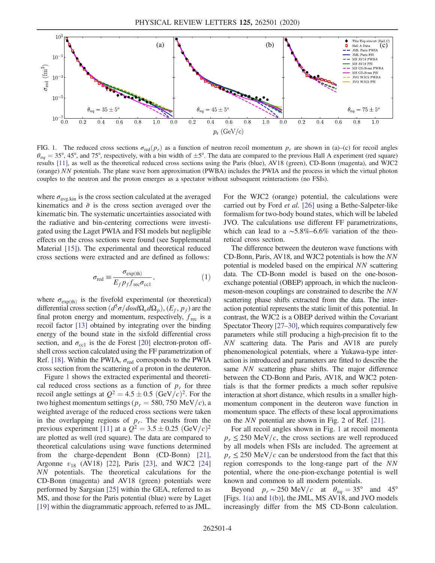<span id="page-3-0"></span>

FIG. 1. The reduced cross sections  $\sigma_{\text{red}}(p_r)$  as a function of neutron recoil momentum  $p_r$  are shown in (a)–(c) for recoil angles  $\theta_{nq} = 35^{\circ}, 45^{\circ}$ , and 75°, respectively, with a bin width of  $\pm 5^{\circ}$ . The data are compared to the previous Hall A experiment (red square) results [\[11\]](#page-5-6), as well as the theoretical reduced cross sections using the Paris (blue), AV18 (green), CD-Bonn (magenta), and WJC2 (orange) NN potentials. The plane wave born approximation (PWBA) includes the PWIA and the process in which the virtual photon couples to the neutron and the proton emerges as a spectator without subsequent reinteractions (no FSIs).

where  $\sigma_{\text{avg,kin}}$  is the cross section calculated at the averaged kinematics and  $\bar{\sigma}$  is the cross section averaged over the kinematic bin. The systematic uncertainties associated with the radiative and bin-centering corrections were investigated using the Laget PWIA and FSI models but negligible effects on the cross sections were found (see Supplemental Material [\[15\]](#page-5-10)). The experimental and theoretical reduced cross sections were extracted and are defined as follows:

$$
\sigma_{\text{red}} \equiv \frac{\sigma_{\text{exp(th)}}}{E_f p_f f_{\text{rec}} \sigma_{\text{ccl}}},\tag{1}
$$

where  $\sigma_{\exp(th)}$  is the fivefold experimental (or theoretical) differential cross section  $(d^5\sigma/d\omega d\Omega_e d\Omega_p)$ ,  $(E_f, p_f)$  are the final proton energy and momentum, respectively,  $f_{\text{rec}}$  is a recoil factor [\[13\]](#page-5-8) obtained by integrating over the binding energy of the bound state in the sixfold differential cross section, and  $\sigma_{\text{ccl}}$  is the de Forest [\[20\]](#page-5-13) electron-proton offshell cross section calculated using the FF parametrization of Ref. [\[18\]](#page-5-11). Within the PWIA,  $\sigma_{\text{red}}$  corresponds to the PWIA cross section from the scattering of a proton in the deuteron.

Figure [1](#page-3-0) shows the extracted experimental and theoretical reduced cross sections as a function of  $p_r$  for three recoil angle settings at  $Q^2 = 4.5 \pm 0.5 \text{ (GeV/}c)^2$ . For the two highest momentum settings ( $p_r = 580, 750$  MeV/c), a weighted average of the reduced cross sections were taken in the overlapping regions of  $p_r$ . The results from the previous experiment [\[11\]](#page-5-6) at a  $Q^2 = 3.5 \pm 0.25 \text{ (GeV/}c)^2$ are plotted as well (red square). The data are compared to theoretical calculations using wave functions determined from the charge-dependent Bonn (CD-Bonn) [\[21\]](#page-5-14), Argonne  $v_{18}$  (AV18) [\[22\]](#page-5-15), Paris [\[23\],](#page-5-16) and WJC2 [\[24\]](#page-5-17) NN potentials. The theoretical calculations for the CD-Bonn (magenta) and AV18 (green) potentials were performed by Sargsian [\[25\]](#page-5-18) within the GEA, referred to as MS, and those for the Paris potential (blue) were by Laget [\[19\]](#page-5-12) within the diagrammatic approach, referred to as JML.

For the WJC2 (orange) potential, the calculations were carried out by Ford et al. [\[26\]](#page-5-19) using a Bethe-Salpeter-like formalism for two-body bound states, which will be labeled JVO. The calculations use different FF parametrizations, which can lead to a ∼5.8%–6.6% variation of the theoretical cross section.

The difference between the deuteron wave functions with CD-Bonn, Paris, AV18, and WJC2 potentials is how the NN potential is modeled based on the empirical NN scattering data. The CD-Bonn model is based on the one-bosonexchange potential (OBEP) approach, in which the nucleonmeson-meson couplings are constrained to describe the NN scattering phase shifts extracted from the data. The interaction potential represents the static limit of this potential. In contrast, the WJC2 is a OBEP derived within the Covariant Spectator Theory [\[27](#page-5-20)–30], which requires comparatively few parameters while still producing a high-precision fit to the NN scattering data. The Paris and AV18 are purely phenomenological potentials, where a Yukawa-type interaction is introduced and parameters are fitted to describe the same NN scattering phase shifts. The major difference between the CD-Bonn and Paris, AV18, and WJC2 potentials is that the former predicts a much softer repulsive interaction at short distance, which results in a smaller highmomentum component in the deuteron wave function in momentum space. The effects of these local approximations on the NN potential are shown in Fig. 2 of Ref. [\[21\]](#page-5-14).

For all recoil angles shown in Fig. [1](#page-3-0) at recoil momenta  $p_r \le 250$  MeV/c, the cross sections are well reproduced by all models when FSIs are included. The agreement at  $p_r \le 250$  MeV/c can be understood from the fact that this region corresponds to the long-range part of the NN potential, where the one-pion-exchange potential is well known and common to all modern potentials.

Beyond  $p_r \sim 250 \text{ MeV}/c$  at  $\theta_{nq} = 35^\circ$  and 45° [Figs. [1\(a\)](#page-3-0) and [1\(b\)](#page-3-0)], the JML, MS AV18, and JVO models increasingly differ from the MS CD-Bonn calculation.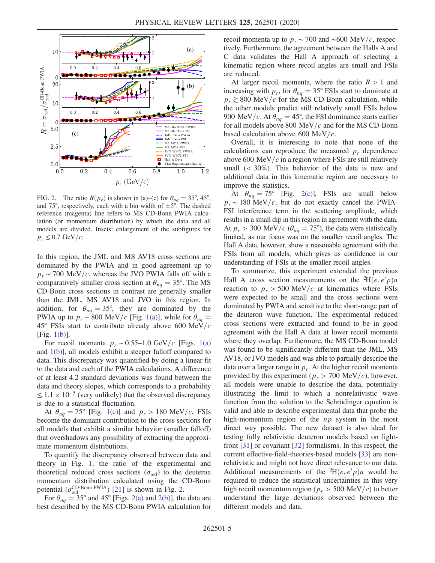<span id="page-4-0"></span>

FIG. 2. The ratio  $R(p_r)$  is shown in (a)–(c) for  $\theta_{nq} = 35^\circ, 45^\circ$ , and 75°, respectively, each with a bin width of  $\pm 5^{\circ}$ . The dashed reference (magenta) line refers to MS CD-Bonn PWIA calculation (or momentum distribution) by which the data and all models are divided. Insets: enlargement of the subfigures for  $p_r \leq 0.7$  GeV/c.

In this region, the JML and MS AV18 cross sections are dominated by the PWIA and in good agreement up to  $p_r \sim 700$  MeV/c, whereas the JVO PWIA falls off with a comparatively smaller cross section at  $\theta_{nq} = 35^{\circ}$ . The MS CD-Bonn cross sections in contrast are generally smaller than the JML, MS AV18 and JVO in this region. In addition, for  $\theta_{nq} = 35^{\circ}$ , they are dominated by the PWIA up to  $p_r \sim 800 \text{ MeV}/c$  [Fig. [1\(a\)](#page-3-0)], while for  $\theta_{nq} =$  $45^{\circ}$  FSIs start to contribute already above 600 MeV/c [Fig. [1\(b\)\]](#page-3-0).

For recoil momenta  $p_r \sim 0.55-1.0$  GeV/c [Figs. [1\(a\)](#page-3-0) and [1\(b\)\]](#page-3-0), all models exhibit a steeper falloff compared to data. This discrepancy was quantified by doing a linear fit to the data and each of the PWIA calculations. A difference of at least 4.2 standard deviations was found between the data and theory slopes, which corresponds to a probability  $≤ 1.1 \times 10^{-5}$  (very unlikely) that the observed discrepancy is due to a statistical fluctuation.

At  $\theta_{na} = 75^{\circ}$  [Fig. [1\(c\)](#page-3-0)] and  $p_r > 180$  MeV/c, FSIs become the dominant contribution to the cross sections for all models that exhibit a similar behavior (smaller falloff) that overshadows any possibility of extracting the approximate momentum distributions.

To quantify the discrepancy observed between data and theory in Fig. [1,](#page-3-0) the ratio of the experimental and theoretical reduced cross sections ( $\sigma_{\text{red}}$ ) to the deuteron momentum distribution calculated using the CD-Bonn potential ( $\sigma_{\text{red}}^{\text{CD-Bonn PWA}}$ ) [\[21\]](#page-5-14) is shown in Fig. [2](#page-4-0).

For  $\theta_{nq} = 35^{\circ}$  and 45° [Figs. [2\(a\)](#page-4-0) and [2\(b\)\]](#page-4-0), the data are best described by the MS CD-Bonn PWIA calculation for recoil momenta up to  $p_r \sim 700$  and ~600 MeV/c, respectively. Furthermore, the agreement between the Halls A and C data validates the Hall A approach of selecting a kinematic region where recoil angles are small and FSIs are reduced.

At larger recoil momenta, where the ratio  $R > 1$  and increasing with  $p_r$ , for  $\theta_{na} = 35^\circ$  FSIs start to dominate at  $p_r \gtrsim 800$  MeV/c for the MS CD-Bonn calculation, while the other models predict still relatively small FSIs below 900 MeV/c. At  $\theta_{nq} = 45^{\circ}$ , the FSI dominance starts earlier for all models above 800 MeV/ $c$  and for the MS CD-Bonn based calculation above 600 MeV/ $c$ .

Overall, it is interesting to note that none of the calculations can reproduce the measured  $p_r$  dependence above 600 MeV/ $c$  in a region where FSIs are still relatively small  $( $30\%$ )$ . This behavior of the data is new and additional data in this kinematic region are necessary to improve the statistics.

At  $\theta_{nq} = 75^{\circ}$  [Fig. [2\(c\)](#page-4-0)], FSIs are small below  $p_r \sim 180$  MeV/c, but do not exactly cancel the PWIA-FSI interference term in the scattering amplitude, which results in a small dip in this region in agreement with the data. At  $p_r > 300 \text{ MeV}/c \ (\theta_{nq} = 75^{\circ})$ , the data were statistically limited, as our focus was on the smaller recoil angles. The Hall A data, however, show a reasonable agreement with the FSIs from all models, which gives us confidence in our understanding of FSIs at the smaller recoil angles.

To summarize, this experiment extended the previous Hall A cross section measurements on the <sup>2</sup>H(*e*, *e'p*)*n* reaction to  $p_r > 500$  MeV/c at kinematics where FSIs were expected to be small and the cross sections were dominated by PWIA and sensitive to the short-range part of the deuteron wave function. The experimental reduced cross sections were extracted and found to be in good agreement with the Hall A data at lower recoil momenta where they overlap. Furthermore, the MS CD-Bonn model was found to be significantly different than the JML, MS AV18, or JVO models and was able to partially describe the data over a larger range in  $p_r$ . At the higher recoil momenta provided by this experiment ( $p_r > 700$  MeV/c), however, all models were unable to describe the data, potentially illustrating the limit to which a nonrelativistic wave function from the solution to the Schrödinger equation is valid and able to describe experimental data that probe the high-momentum region of the  $np$  system in the most direct way possible. The new dataset is also ideal for testing fully relativistic deuteron models based on lightfront [\[31\]](#page-5-21) or covariant [\[32\]](#page-5-22) formalisms. In this respect, the current effective-field-theories-based models [\[33\]](#page-5-23) are nonrelativistic and might not have direct relevance to our data. Additional measurements of the <sup>2</sup>H $(e, e'p)n$  would be required to reduce the statistical uncertainties in this very high recoil momentum region ( $p_r > 500$  MeV/c) to better understand the large deviations observed between the different models and data.